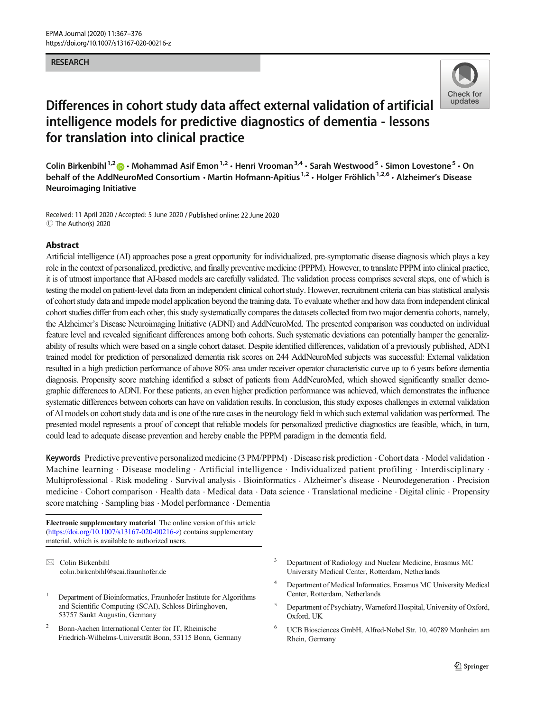#### RESEARCH



# Differences in cohort study data affect external validation of artificial intelligence models for predictive diagnostics of dementia - lessons for translation into clinical practice

Colin Birkenbihl<sup>1,2</sup>  $\cdot$  Mohammad Asif Emon<sup>1,2</sup>  $\cdot$  Henri Vrooman<sup>3,4</sup>  $\cdot$  Sarah Westwood<sup>5</sup>  $\cdot$  Simon Lovestone<sup>5</sup>  $\cdot$  On behalf of the AddNeuroMed Consortium  $\cdot$  Martin Hofmann-Apitius<sup>1,2</sup>  $\cdot$  Holger Fröhlich<sup>1,2,6</sup>  $\cdot$  Alzheimer's Disease Neuroimaging Initiative

Received: 11 April 2020 /Accepted: 5 June 2020 / Published online: 22 June 2020  $\circledcirc$  The Author(s) 2020

#### Abstract

Artificial intelligence (AI) approaches pose a great opportunity for individualized, pre-symptomatic disease diagnosis which plays a key role in the context of personalized, predictive, and finally preventive medicine (PPPM). However, to translate PPPM into clinical practice, it is of utmost importance that AI-based models are carefully validated. The validation process comprises several steps, one of which is testing the model on patient-level data from an independent clinical cohort study. However, recruitment criteria can bias statistical analysis of cohort study data and impede model application beyond the training data. To evaluate whether and how data from independent clinical cohort studies differ from each other, this study systematically compares the datasets collected from two major dementia cohorts, namely, the Alzheimer's Disease Neuroimaging Initiative (ADNI) and AddNeuroMed. The presented comparison was conducted on individual feature level and revealed significant differences among both cohorts. Such systematic deviations can potentially hamper the generalizability of results which were based on a single cohort dataset. Despite identified differences, validation of a previously published, ADNI trained model for prediction of personalized dementia risk scores on 244 AddNeuroMed subjects was successful: External validation resulted in a high prediction performance of above 80% area under receiver operator characteristic curve up to 6 years before dementia diagnosis. Propensity score matching identified a subset of patients from AddNeuroMed, which showed significantly smaller demographic differences to ADNI. For these patients, an even higher prediction performance was achieved, which demonstrates the influence systematic differences between cohorts can have on validation results. In conclusion, this study exposes challenges in external validation of AI models on cohort study data and is one of the rare cases in the neurology field in which such external validation was performed. The presented model represents a proof of concept that reliable models for personalized predictive diagnostics are feasible, which, in turn, could lead to adequate disease prevention and hereby enable the PPPM paradigm in the dementia field.

Keywords Predictive preventive personalized medicine (3 PM/PPPM) . Disease risk prediction .Cohort data . Model validation . Machine learning . Disease modeling  $\cdot$  Artificial intelligence  $\cdot$  Individualized patient profiling  $\cdot$  Interdisciplinary  $\cdot$ Multiprofessional . Risk modeling . Survival analysis . Bioinformatics . Alzheimer's disease . Neurodegeneration . Precision medicine . Cohort comparison . Health data . Medical data . Data science . Translational medicine . Digital clinic . Propensity score matching . Sampling bias . Model performance . Dementia

Electronic supplementary material The online version of this article (<https://doi.org/10.1007/s13167-020-00216-z>) contains supplementary material, which is available to authorized users.

 $\boxtimes$  Colin Birkenbihl [colin.birkenbihl@scai.fraunhofer.de](mailto:colin.birkenbihl@scai.fraunhofer.de)

- <sup>1</sup> Department of Bioinformatics, Fraunhofer Institute for Algorithms and Scientific Computing (SCAI), Schloss Birlinghoven, 53757 Sankt Augustin, Germany
- <sup>2</sup> Bonn-Aachen International Center for IT, Rheinische Friedrich-Wilhelms-Universität Bonn, 53115 Bonn, Germany
- <sup>3</sup> Department of Radiology and Nuclear Medicine, Erasmus MC University Medical Center, Rotterdam, Netherlands
- <sup>4</sup> Department of Medical Informatics, Erasmus MC University Medical Center, Rotterdam, Netherlands
- <sup>5</sup> Department of Psychiatry, Warneford Hospital, University of Oxford, Oxford, UK
- <sup>6</sup> UCB Biosciences GmbH, Alfred-Nobel Str. 10, 40789 Monheim am Rhein, Germany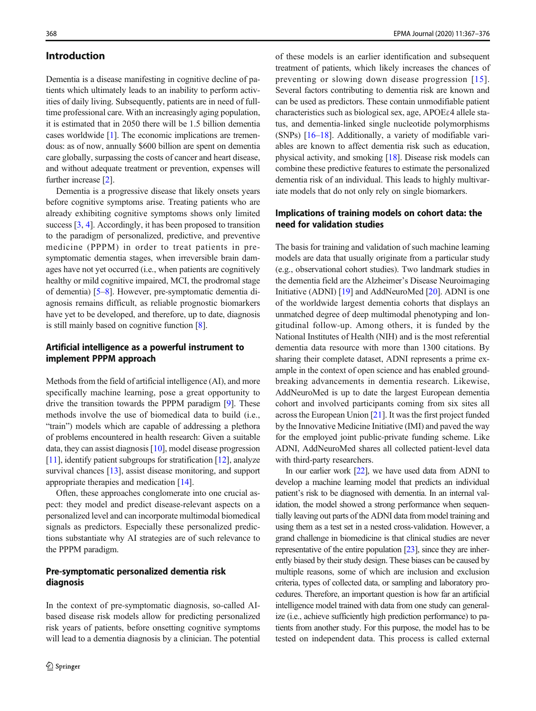#### Introduction

Dementia is a disease manifesting in cognitive decline of patients which ultimately leads to an inability to perform activities of daily living. Subsequently, patients are in need of fulltime professional care. With an increasingly aging population, it is estimated that in 2050 there will be 1.5 billion dementia cases worldwide [[1\]](#page-8-0). The economic implications are tremendous: as of now, annually \$600 billion are spent on dementia care globally, surpassing the costs of cancer and heart disease, and without adequate treatment or prevention, expenses will further increase [\[2\]](#page-8-0).

Dementia is a progressive disease that likely onsets years before cognitive symptoms arise. Treating patients who are already exhibiting cognitive symptoms shows only limited success [\[3](#page-8-0), [4](#page-8-0)]. Accordingly, it has been proposed to transition to the paradigm of personalized, predictive, and preventive medicine (PPPM) in order to treat patients in presymptomatic dementia stages, when irreversible brain damages have not yet occurred (i.e., when patients are cognitively healthy or mild cognitive impaired, MCI, the prodromal stage of dementia) [\[5](#page-9-0)–[8\]](#page-9-0). However, pre-symptomatic dementia diagnosis remains difficult, as reliable prognostic biomarkers have yet to be developed, and therefore, up to date, diagnosis is still mainly based on cognitive function [\[8](#page-9-0)].

# Artificial intelligence as a powerful instrument to implement PPPM approach

Methods from the field of artificial intelligence (AI), and more specifically machine learning, pose a great opportunity to drive the transition towards the PPPM paradigm [[9\]](#page-9-0). These methods involve the use of biomedical data to build (i.e., "train") models which are capable of addressing a plethora of problems encountered in health research: Given a suitable data, they can assist diagnosis [\[10](#page-9-0)], model disease progression [\[11\]](#page-9-0), identify patient subgroups for stratification [\[12\]](#page-9-0), analyze survival chances [[13\]](#page-9-0), assist disease monitoring, and support appropriate therapies and medication [\[14](#page-9-0)].

Often, these approaches conglomerate into one crucial aspect: they model and predict disease-relevant aspects on a personalized level and can incorporate multimodal biomedical signals as predictors. Especially these personalized predictions substantiate why AI strategies are of such relevance to the PPPM paradigm.

#### Pre-symptomatic personalized dementia risk diagnosis

In the context of pre-symptomatic diagnosis, so-called AIbased disease risk models allow for predicting personalized risk years of patients, before onsetting cognitive symptoms will lead to a dementia diagnosis by a clinician. The potential of these models is an earlier identification and subsequent treatment of patients, which likely increases the chances of preventing or slowing down disease progression [\[15](#page-9-0)]. Several factors contributing to dementia risk are known and can be used as predictors. These contain unmodifiable patient characteristics such as biological sex, age, APOEε4 allele status, and dementia-linked single nucleotide polymorphisms (SNPs) [\[16](#page-9-0)–[18\]](#page-9-0). Additionally, a variety of modifiable variables are known to affect dementia risk such as education, physical activity, and smoking [[18](#page-9-0)]. Disease risk models can combine these predictive features to estimate the personalized dementia risk of an individual. This leads to highly multivariate models that do not only rely on single biomarkers.

# Implications of training models on cohort data: the need for validation studies

The basis for training and validation of such machine learning models are data that usually originate from a particular study (e.g., observational cohort studies). Two landmark studies in the dementia field are the Alzheimer's Disease Neuroimaging Initiative (ADNI) [[19](#page-9-0)] and AddNeuroMed [\[20](#page-9-0)]. ADNI is one of the worldwide largest dementia cohorts that displays an unmatched degree of deep multimodal phenotyping and longitudinal follow-up. Among others, it is funded by the National Institutes of Health (NIH) and is the most referential dementia data resource with more than 1300 citations. By sharing their complete dataset, ADNI represents a prime example in the context of open science and has enabled groundbreaking advancements in dementia research. Likewise, AddNeuroMed is up to date the largest European dementia cohort and involved participants coming from six sites all across the European Union [\[21\]](#page-9-0). It was the first project funded by the Innovative Medicine Initiative (IMI) and paved the way for the employed joint public-private funding scheme. Like ADNI, AddNeuroMed shares all collected patient-level data with third-party researchers.

In our earlier work [\[22\]](#page-9-0), we have used data from ADNI to develop a machine learning model that predicts an individual patient's risk to be diagnosed with dementia. In an internal validation, the model showed a strong performance when sequentially leaving out parts of the ADNI data from model training and using them as a test set in a nested cross-validation. However, a grand challenge in biomedicine is that clinical studies are never representative of the entire population [\[23](#page-9-0)], since they are inherently biased by their study design. These biases can be caused by multiple reasons, some of which are inclusion and exclusion criteria, types of collected data, or sampling and laboratory procedures. Therefore, an important question is how far an artificial intelligence model trained with data from one study can generalize (i.e., achieve sufficiently high prediction performance) to patients from another study. For this purpose, the model has to be tested on independent data. This process is called external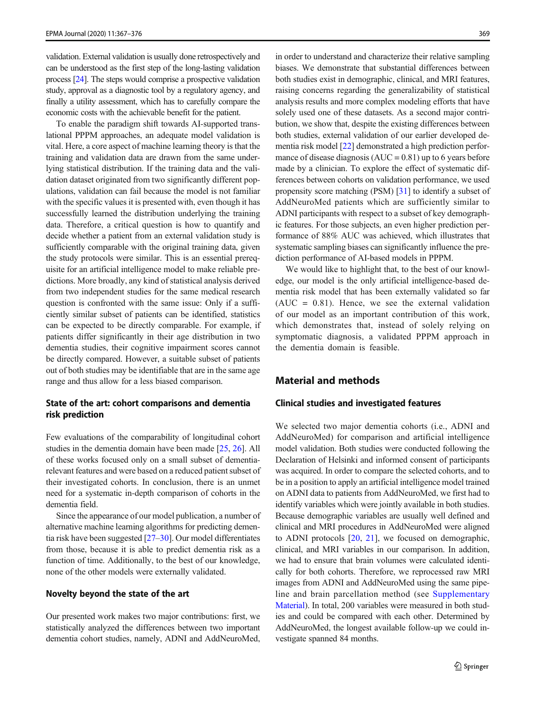validation. External validation is usually done retrospectively and can be understood as the first step of the long-lasting validation process [\[24](#page-9-0)]. The steps would comprise a prospective validation study, approval as a diagnostic tool by a regulatory agency, and finally a utility assessment, which has to carefully compare the economic costs with the achievable benefit for the patient.

To enable the paradigm shift towards AI-supported translational PPPM approaches, an adequate model validation is vital. Here, a core aspect of machine learning theory is that the training and validation data are drawn from the same underlying statistical distribution. If the training data and the validation dataset originated from two significantly different populations, validation can fail because the model is not familiar with the specific values it is presented with, even though it has successfully learned the distribution underlying the training data. Therefore, a critical question is how to quantify and decide whether a patient from an external validation study is sufficiently comparable with the original training data, given the study protocols were similar. This is an essential prerequisite for an artificial intelligence model to make reliable predictions. More broadly, any kind of statistical analysis derived from two independent studies for the same medical research question is confronted with the same issue: Only if a sufficiently similar subset of patients can be identified, statistics can be expected to be directly comparable. For example, if patients differ significantly in their age distribution in two dementia studies, their cognitive impairment scores cannot be directly compared. However, a suitable subset of patients out of both studies may be identifiable that are in the same age range and thus allow for a less biased comparison.

## State of the art: cohort comparisons and dementia risk prediction

Few evaluations of the comparability of longitudinal cohort studies in the dementia domain have been made [[25,](#page-9-0) [26\]](#page-9-0). All of these works focused only on a small subset of dementiarelevant features and were based on a reduced patient subset of their investigated cohorts. In conclusion, there is an unmet need for a systematic in-depth comparison of cohorts in the dementia field.

Since the appearance of our model publication, a number of alternative machine learning algorithms for predicting dementia risk have been suggested  $[27-30]$  $[27-30]$  $[27-30]$ . Our model differentiates from those, because it is able to predict dementia risk as a function of time. Additionally, to the best of our knowledge, none of the other models were externally validated.

#### Novelty beyond the state of the art

Our presented work makes two major contributions: first, we statistically analyzed the differences between two important dementia cohort studies, namely, ADNI and AddNeuroMed, in order to understand and characterize their relative sampling biases. We demonstrate that substantial differences between both studies exist in demographic, clinical, and MRI features, raising concerns regarding the generalizability of statistical analysis results and more complex modeling efforts that have solely used one of these datasets. As a second major contribution, we show that, despite the existing differences between both studies, external validation of our earlier developed dementia risk model [[22\]](#page-9-0) demonstrated a high prediction performance of disease diagnosis  $(AUC = 0.81)$  up to 6 years before made by a clinician. To explore the effect of systematic differences between cohorts on validation performance, we used propensity score matching (PSM) [\[31](#page-9-0)] to identify a subset of AddNeuroMed patients which are sufficiently similar to ADNI participants with respect to a subset of key demographic features. For those subjects, an even higher prediction performance of 88% AUC was achieved, which illustrates that systematic sampling biases can significantly influence the prediction performance of AI-based models in PPPM.

We would like to highlight that, to the best of our knowledge, our model is the only artificial intelligence-based dementia risk model that has been externally validated so far  $(AUC = 0.81)$ . Hence, we see the external validation of our model as an important contribution of this work, which demonstrates that, instead of solely relying on symptomatic diagnosis, a validated PPPM approach in the dementia domain is feasible.

# Material and methods

#### Clinical studies and investigated features

We selected two major dementia cohorts (i.e., ADNI and AddNeuroMed) for comparison and artificial intelligence model validation. Both studies were conducted following the Declaration of Helsinki and informed consent of participants was acquired. In order to compare the selected cohorts, and to be in a position to apply an artificial intelligence model trained on ADNI data to patients from AddNeuroMed, we first had to identify variables which were jointly available in both studies. Because demographic variables are usually well defined and clinical and MRI procedures in AddNeuroMed were aligned to ADNI protocols [\[20](#page-9-0), [21\]](#page-9-0), we focused on demographic, clinical, and MRI variables in our comparison. In addition, we had to ensure that brain volumes were calculated identically for both cohorts. Therefore, we reprocessed raw MRI images from ADNI and AddNeuroMed using the same pipeline and brain parcellation method (see Supplementary Material). In total, 200 variables were measured in both studies and could be compared with each other. Determined by AddNeuroMed, the longest available follow-up we could investigate spanned 84 months.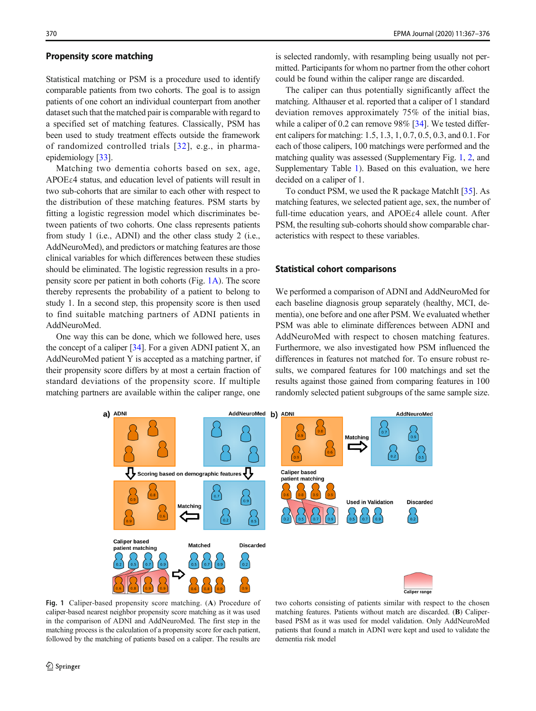#### <span id="page-3-0"></span>Propensity score matching

Statistical matching or PSM is a procedure used to identify comparable patients from two cohorts. The goal is to assign patients of one cohort an individual counterpart from another dataset such that the matched pair is comparable with regard to a specified set of matching features. Classically, PSM has been used to study treatment effects outside the framework of randomized controlled trials [[32\]](#page-9-0), e.g., in pharmaepidemiology [\[33\]](#page-9-0).

Matching two dementia cohorts based on sex, age, APOEε4 status, and education level of patients will result in two sub-cohorts that are similar to each other with respect to the distribution of these matching features. PSM starts by fitting a logistic regression model which discriminates between patients of two cohorts. One class represents patients from study 1 (i.e., ADNI) and the other class study 2 (i.e., AddNeuroMed), and predictors or matching features are those clinical variables for which differences between these studies should be eliminated. The logistic regression results in a propensity score per patient in both cohorts (Fig. 1A). The score thereby represents the probability of a patient to belong to study 1. In a second step, this propensity score is then used to find suitable matching partners of ADNI patients in AddNeuroMed.

One way this can be done, which we followed here, uses the concept of a caliper  $[34]$  $[34]$ . For a given ADNI patient X, an AddNeuroMed patient Y is accepted as a matching partner, if their propensity score differs by at most a certain fraction of standard deviations of the propensity score. If multiple matching partners are available within the caliper range, one

is selected randomly, with resampling being usually not permitted. Participants for whom no partner from the other cohort could be found within the caliper range are discarded.

The caliper can thus potentially significantly affect the matching. Althauser et al. reported that a caliper of 1 standard deviation removes approximately 75% of the initial bias, while a caliper of 0.2 can remove 98% [\[34](#page-9-0)]. We tested different calipers for matching: 1.5, 1.3, 1, 0.7, 0.5, 0.3, and 0.1. For each of those calipers, 100 matchings were performed and the matching quality was assessed (Supplementary Fig. 1, 2, and Supplementary Table 1). Based on this evaluation, we here decided on a caliper of 1.

To conduct PSM, we used the R package MatchIt [[35](#page-9-0)]. As matching features, we selected patient age, sex, the number of full-time education years, and APOEε4 allele count. After PSM, the resulting sub-cohorts should show comparable characteristics with respect to these variables.

#### Statistical cohort comparisons

We performed a comparison of ADNI and AddNeuroMed for each baseline diagnosis group separately (healthy, MCI, dementia), one before and one after PSM. We evaluated whether PSM was able to eliminate differences between ADNI and AddNeuroMed with respect to chosen matching features. Furthermore, we also investigated how PSM influenced the differences in features not matched for. To ensure robust results, we compared features for 100 matchings and set the results against those gained from comparing features in 100 randomly selected patient subgroups of the same sample size.



Fig. 1 Caliper-based propensity score matching. (A) Procedure of caliper-based nearest neighbor propensity score matching as it was used in the comparison of ADNI and AddNeuroMed. The first step in the matching process is the calculation of a propensity score for each patient, followed by the matching of patients based on a caliper. The results are

two cohorts consisting of patients similar with respect to the chosen matching features. Patients without match are discarded. (B) Caliperbased PSM as it was used for model validation. Only AddNeuroMed patients that found a match in ADNI were kept and used to validate the dementia risk model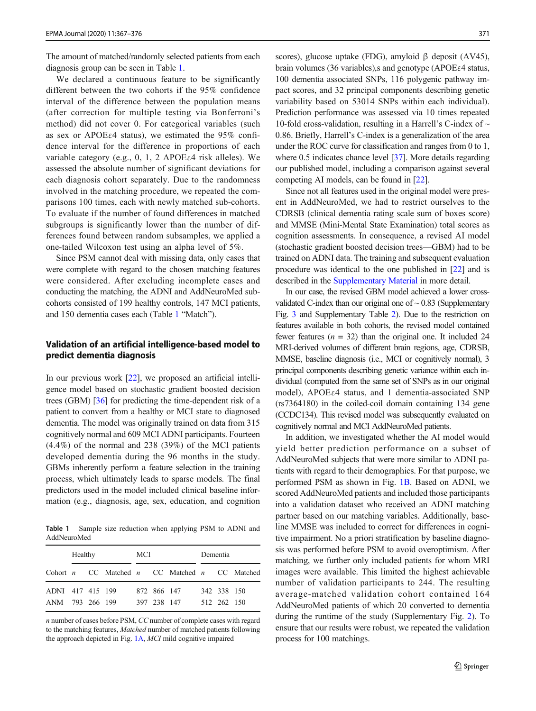<span id="page-4-0"></span>The amount of matched/randomly selected patients from each diagnosis group can be seen in Table 1.

We declared a continuous feature to be significantly different between the two cohorts if the 95% confidence interval of the difference between the population means (after correction for multiple testing via Bonferroni's method) did not cover 0. For categorical variables (such as sex or APOE $\varepsilon$ 4 status), we estimated the 95% confidence interval for the difference in proportions of each variable category (e.g., 0, 1, 2 APOEε4 risk alleles). We assessed the absolute number of significant deviations for each diagnosis cohort separately. Due to the randomness involved in the matching procedure, we repeated the comparisons 100 times, each with newly matched sub-cohorts. To evaluate if the number of found differences in matched subgroups is significantly lower than the number of differences found between random subsamples, we applied a one-tailed Wilcoxon test using an alpha level of 5%.

Since PSM cannot deal with missing data, only cases that were complete with regard to the chosen matching features were considered. After excluding incomplete cases and conducting the matching, the ADNI and AddNeuroMed subcohorts consisted of 199 healthy controls, 147 MCI patients, and 150 dementia cases each (Table 1 "Match").

# Validation of an artificial intelligence-based model to predict dementia diagnosis

In our previous work [[22](#page-9-0)], we proposed an artificial intelligence model based on stochastic gradient boosted decision trees (GBM) [[36\]](#page-9-0) for predicting the time-dependent risk of a patient to convert from a healthy or MCI state to diagnosed dementia. The model was originally trained on data from 315 cognitively normal and 609 MCI ADNI participants. Fourteen (4.4%) of the normal and 238 (39%) of the MCI patients developed dementia during the 96 months in the study. GBMs inherently perform a feature selection in the training process, which ultimately leads to sparse models. The final predictors used in the model included clinical baseline information (e.g., diagnosis, age, sex, education, and cognition

Table 1 Sample size reduction when applying PSM to ADNI and AddNeuroMed

| Healthy          |  |  | MCI |  |             | Dementia                                            |  |             |  |
|------------------|--|--|-----|--|-------------|-----------------------------------------------------|--|-------------|--|
|                  |  |  |     |  |             | Cohort $n$ CC Matched $n$ CC Matched $n$ CC Matched |  |             |  |
| ADNI 417 415 199 |  |  |     |  | 872 866 147 |                                                     |  | 342 338 150 |  |
| ANM 793 266 199  |  |  |     |  | 397 238 147 |                                                     |  | 512 262 150 |  |

n number of cases before PSM, CC number of complete cases with regard to the matching features, Matched number of matched patients following the approach depicted in Fig. [1A](#page-3-0), MCI mild cognitive impaired

scores), glucose uptake (FDG), amyloid β deposit (AV45), brain volumes (36 variables), and genotype (APOE $\varepsilon$ 4 status, 100 dementia associated SNPs, 116 polygenic pathway impact scores, and 32 principal components describing genetic variability based on 53014 SNPs within each individual). Prediction performance was assessed via 10 times repeated 10-fold cross-validation, resulting in a Harrell's C-index of  $\sim$ 0.86. Briefly, Harrell's C-index is a generalization of the area under the ROC curve for classification and ranges from 0 to 1, where 0.5 indicates chance level [\[37\]](#page-9-0). More details regarding our published model, including a comparison against several competing AI models, can be found in [\[22](#page-9-0)].

Since not all features used in the original model were present in AddNeuroMed, we had to restrict ourselves to the CDRSB (clinical dementia rating scale sum of boxes score) and MMSE (Mini-Mental State Examination) total scores as cognition assessments. In consequence, a revised AI model (stochastic gradient boosted decision trees—GBM) had to be trained on ADNI data. The training and subsequent evaluation procedure was identical to the one published in [[22](#page-9-0)] and is described in the Supplementary Material in more detail.

In our case, the revised GBM model achieved a lower crossvalidated C-index than our original one of  $\sim 0.83$  (Supplementary Fig. 3 and Supplementary Table 2). Due to the restriction on features available in both cohorts, the revised model contained fewer features ( $n = 32$ ) than the original one. It included 24 MRI-derived volumes of different brain regions, age, CDRSB, MMSE, baseline diagnosis (i.e., MCI or cognitively normal), 3 principal components describing genetic variance within each individual (computed from the same set of SNPs as in our original model), APOEε4 status, and 1 dementia-associated SNP (rs7364180) in the coiled-coil domain containing 134 gene (CCDC134). This revised model was subsequently evaluated on cognitively normal and MCI AddNeuroMed patients.

In addition, we investigated whether the AI model would yield better prediction performance on a subset of AddNeuroMed subjects that were more similar to ADNI patients with regard to their demographics. For that purpose, we performed PSM as shown in Fig. [1B.](#page-3-0) Based on ADNI, we scored AddNeuroMed patients and included those participants into a validation dataset who received an ADNI matching partner based on our matching variables. Additionally, baseline MMSE was included to correct for differences in cognitive impairment. No a priori stratification by baseline diagnosis was performed before PSM to avoid overoptimism. After matching, we further only included patients for whom MRI images were available. This limited the highest achievable number of validation participants to 244. The resulting average-matched validation cohort contained 164 AddNeuroMed patients of which 20 converted to dementia during the runtime of the study (Supplementary Fig. 2). To ensure that our results were robust, we repeated the validation process for 100 matchings.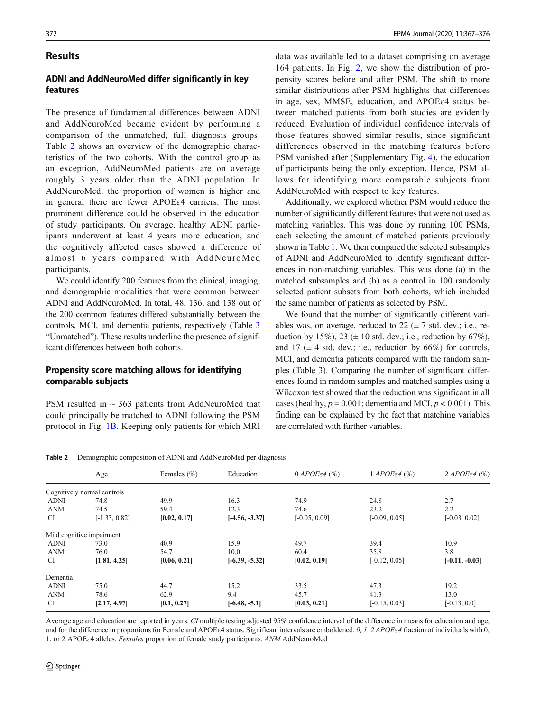#### Results

# ADNI and AddNeuroMed differ significantly in key features

The presence of fundamental differences between ADNI and AddNeuroMed became evident by performing a comparison of the unmatched, full diagnosis groups. Table 2 shows an overview of the demographic characteristics of the two cohorts. With the control group as an exception, AddNeuroMed patients are on average roughly 3 years older than the ADNI population. In AddNeuroMed, the proportion of women is higher and in general there are fewer APOE $\varepsilon$ 4 carriers. The most prominent difference could be observed in the education of study participants. On average, healthy ADNI participants underwent at least 4 years more education, and the cognitively affected cases showed a difference of almost 6 years compared with AddNeuroMed participants.

We could identify 200 features from the clinical, imaging, and demographic modalities that were common between ADNI and AddNeuroMed. In total, 48, 136, and 138 out of the 200 common features differed substantially between the controls, MCI, and dementia patients, respectively (Table [3](#page-6-0) "Unmatched"). These results underline the presence of significant differences between both cohorts.

## Propensity score matching allows for identifying comparable subjects

PSM resulted in  $\sim$  363 patients from AddNeuroMed that could principally be matched to ADNI following the PSM protocol in Fig. [1B.](#page-3-0) Keeping only patients for which MRI data was available led to a dataset comprising on average 164 patients. In Fig. [2,](#page-6-0) we show the distribution of propensity scores before and after PSM. The shift to more similar distributions after PSM highlights that differences in age, sex, MMSE, education, and APOEε4 status between matched patients from both studies are evidently reduced. Evaluation of individual confidence intervals of those features showed similar results, since significant differences observed in the matching features before PSM vanished after (Supplementary Fig. 4), the education of participants being the only exception. Hence, PSM allows for identifying more comparable subjects from AddNeuroMed with respect to key features.

Additionally, we explored whether PSM would reduce the number of significantly different features that were not used as matching variables. This was done by running 100 PSMs, each selecting the amount of matched patients previously shown in Table [1.](#page-4-0) We then compared the selected subsamples of ADNI and AddNeuroMed to identify significant differences in non-matching variables. This was done (a) in the matched subsamples and (b) as a control in 100 randomly selected patient subsets from both cohorts, which included the same number of patients as selected by PSM.

We found that the number of significantly different variables was, on average, reduced to 22  $(\pm 7 \text{ std. dev.}; i.e.,$  reduction by 15%), 23 ( $\pm$  10 std. dev.; i.e., reduction by 67%), and 17 ( $\pm$  4 std. dev.; i.e., reduction by 66%) for controls, MCI, and dementia patients compared with the random samples (Table [3\)](#page-6-0). Comparing the number of significant differences found in random samples and matched samples using a Wilcoxon test showed that the reduction was significant in all cases (healthy,  $p = 0.001$ ; dementia and MCI,  $p < 0.001$ ). This finding can be explained by the fact that matching variables are correlated with further variables.

Table 2 Demographic composition of ADNI and AddNeuroMed per diagnosis

|                           | Age                         | Females $(\% )$ | Education        | $0$ APOE $\varepsilon$ 4 (%) | 1 APOE $\epsilon$ 4 (%) | $2$ APOE $\varepsilon$ 4 (%) |
|---------------------------|-----------------------------|-----------------|------------------|------------------------------|-------------------------|------------------------------|
|                           | Cognitively normal controls |                 |                  |                              |                         |                              |
| <b>ADNI</b>               | 74.8                        | 49.9            | 16.3             | 74.9                         | 24.8                    | 2.7                          |
| <b>ANM</b>                | 74.5                        | 59.4            | 12.3             | 74.6                         | 23.2                    | 2.2                          |
| <b>CI</b>                 | $[-1.33, 0.82]$             | [0.02, 0.17]    | $[-4.56, -3.37]$ | $[-0.05, 0.09]$              | $[-0.09, 0.05]$         | $[-0.03, 0.02]$              |
| Mild cognitive impairment |                             |                 |                  |                              |                         |                              |
| <b>ADNI</b>               | 73.0                        | 40.9            | 15.9             | 49.7                         | 39.4                    | 10.9                         |
| <b>ANM</b>                | 76.0                        | 54.7            | 10.0             | 60.4                         | 35.8                    | 3.8                          |
| CI                        | [1.81, 4.25]                | [0.06, 0.21]    | $[-6.39, -5.32]$ | [0.02, 0.19]                 | $[-0.12, 0.05]$         | $[-0.11, -0.03]$             |
| Dementia                  |                             |                 |                  |                              |                         |                              |
| <b>ADNI</b>               | 75.0                        | 44.7            | 15.2             | 33.5                         | 47.3                    | 19.2                         |
| <b>ANM</b>                | 78.6                        | 62.9            | 9.4              | 45.7                         | 41.3                    | 13.0                         |
| <b>CI</b>                 | [2.17, 4.97]                | [0.1, 0.27]     | $[-6.48, -5.1]$  | [0.03, 0.21]                 | $[-0.15, 0.03]$         | $[-0.13, 0.0]$               |

Average age and education are reported in years. CI multiple testing adjusted 95% confidence interval of the difference in means for education and age, and for the difference in proportions for Female and APOEε4 status. Significant intervals are emboldened. 0, 1, 2 APOEε4 fraction of individuals with 0, 1, or 2 APOEε4 alleles. Females proportion of female study participants. ANM AddNeuroMed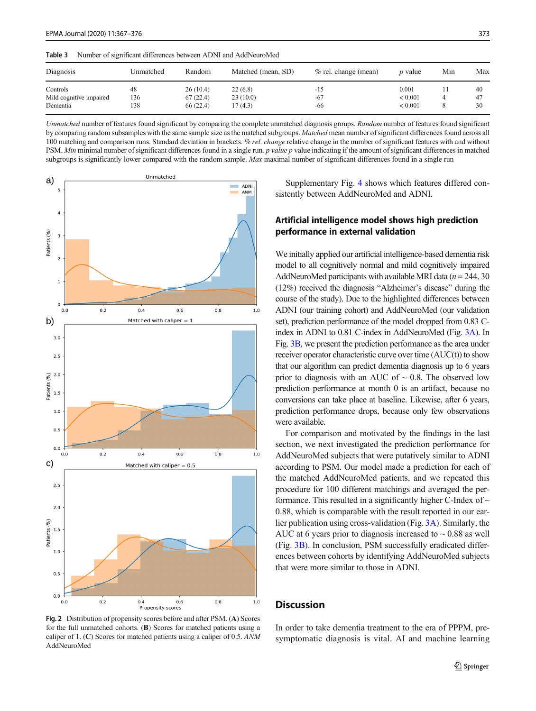<span id="page-6-0"></span>

| c bubl<br>indiffused of significant differences between ADINI and Addinguionical |           |           |                    |                      |                |     |     |  |  |
|----------------------------------------------------------------------------------|-----------|-----------|--------------------|----------------------|----------------|-----|-----|--|--|
| Diagnosis                                                                        | Unmatched | Random    | Matched (mean, SD) | % rel. change (mean) | <i>p</i> value | Min | Max |  |  |
| Controls                                                                         | 48        | 26(10.4)  | 22(6.8)            | -15                  | 0.001          |     | 40  |  |  |
| Mild cognitive impaired                                                          | 136       | 67(22.4)  | 23(10.0)           | $-67$                | ${}_{< 0.001}$ |     | 47  |  |  |
| Dementia                                                                         | 138       | 66 (22.4) | 17 (4.3)           | -66                  | < 0.001        |     | 30  |  |  |

Table 3 Number of significant differences between ADNI and AddNeuroMed

Unmatched number of features found significant by comparing the complete unmatched diagnosis groups. Random number of features found significant by comparing random subsamples with the same sample size as the matched subgroups. Matched mean number of significant differences found across all 100 matching and comparison runs. Standard deviation in brackets. % rel. change relative change in the number of significant features with and without PSM. Min minimal number of significant differences found in a single run. p value p value indicating if the amount of significant differences in matched subgroups is significantly lower compared with the random sample. Max maximal number of significant differences found in a single run



Fig. 2 Distribution of propensity scores before and after PSM. (A) Scores for the full unmatched cohorts. (B) Scores for matched patients using a caliper of 1. (C) Scores for matched patients using a caliper of 0.5. ANM AddNeuroMed

Supplementary Fig. 4 shows which features differed consistently between AddNeuroMed and ADNI.

# Artificial intelligence model shows high prediction performance in external validation

We initially applied our artificial intelligence-based dementia risk model to all cognitively normal and mild cognitively impaired AddNeuroMed participants with available MRI data ( $n = 244, 30$ ) (12%) received the diagnosis "Alzheimer's disease" during the course of the study). Due to the highlighted differences between ADNI (our training cohort) and AddNeuroMed (our validation set), prediction performance of the model dropped from 0.83 Cindex in ADNI to 0.81 C-index in AddNeuroMed (Fig. [3A](#page-7-0)). In Fig. [3B,](#page-7-0) we present the prediction performance as the area under receiver operator characteristic curve over time (AUC(t)) to show that our algorithm can predict dementia diagnosis up to 6 years prior to diagnosis with an AUC of  $\sim$  0.8. The observed low prediction performance at month 0 is an artifact, because no conversions can take place at baseline. Likewise, after 6 years, prediction performance drops, because only few observations were available.

For comparison and motivated by the findings in the last section, we next investigated the prediction performance for AddNeuroMed subjects that were putatively similar to ADNI according to PSM. Our model made a prediction for each of the matched AddNeuroMed patients, and we repeated this procedure for 100 different matchings and averaged the performance. This resulted in a significantly higher C-Index of  $\sim$ 0.88, which is comparable with the result reported in our earlier publication using cross-validation (Fig. [3A\)](#page-7-0). Similarly, the AUC at 6 years prior to diagnosis increased to  $\sim 0.88$  as well (Fig. [3B\)](#page-7-0). In conclusion, PSM successfully eradicated differences between cohorts by identifying AddNeuroMed subjects that were more similar to those in ADNI.

#### **Discussion**

In order to take dementia treatment to the era of PPPM, presymptomatic diagnosis is vital. AI and machine learning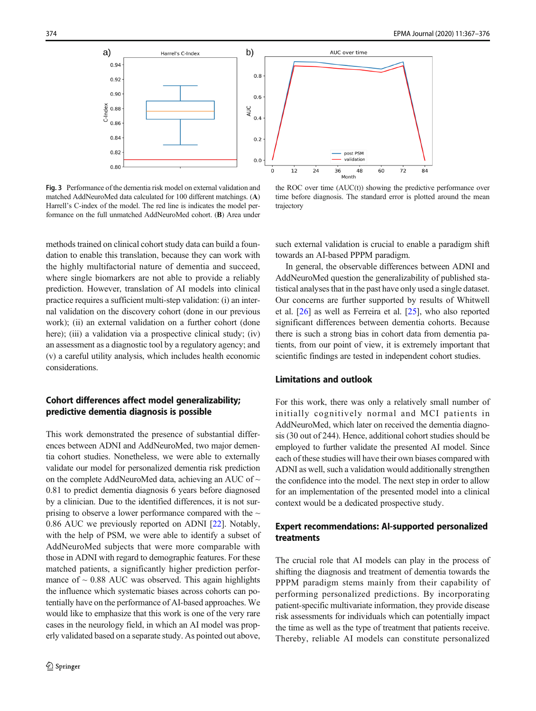<span id="page-7-0"></span>

Fig. 3 Performance of the dementia risk model on external validation and matched AddNeuroMed data calculated for 100 different matchings. (A) Harrell's C-index of the model. The red line is indicates the model performance on the full unmatched AddNeuroMed cohort. (B) Area under

the ROC over time (AUC(t)) showing the predictive performance over time before diagnosis. The standard error is plotted around the mean trajectory

methods trained on clinical cohort study data can build a foundation to enable this translation, because they can work with the highly multifactorial nature of dementia and succeed, where single biomarkers are not able to provide a reliably prediction. However, translation of AI models into clinical practice requires a sufficient multi-step validation: (i) an internal validation on the discovery cohort (done in our previous work); (ii) an external validation on a further cohort (done here); (iii) a validation via a prospective clinical study; (iv) an assessment as a diagnostic tool by a regulatory agency; and (v) a careful utility analysis, which includes health economic considerations.

# Cohort differences affect model generalizability; predictive dementia diagnosis is possible

This work demonstrated the presence of substantial differences between ADNI and AddNeuroMed, two major dementia cohort studies. Nonetheless, we were able to externally validate our model for personalized dementia risk prediction on the complete AddNeuroMed data, achieving an AUC of ~ 0.81 to predict dementia diagnosis 6 years before diagnosed by a clinician. Due to the identified differences, it is not surprising to observe a lower performance compared with the  $\sim$ 0.86 AUC we previously reported on ADNI [\[22](#page-9-0)]. Notably, with the help of PSM, we were able to identify a subset of AddNeuroMed subjects that were more comparable with those in ADNI with regard to demographic features. For these matched patients, a significantly higher prediction performance of  $\sim$  0.88 AUC was observed. This again highlights the influence which systematic biases across cohorts can potentially have on the performance of AI-based approaches. We would like to emphasize that this work is one of the very rare cases in the neurology field, in which an AI model was properly validated based on a separate study. As pointed out above,

such external validation is crucial to enable a paradigm shift towards an AI-based PPPM paradigm.

In general, the observable differences between ADNI and AddNeuroMed question the generalizability of published statistical analyses that in the past have only used a single dataset. Our concerns are further supported by results of Whitwell et al. [[26\]](#page-9-0) as well as Ferreira et al. [\[25](#page-9-0)], who also reported significant differences between dementia cohorts. Because there is such a strong bias in cohort data from dementia patients, from our point of view, it is extremely important that scientific findings are tested in independent cohort studies.

## Limitations and outlook

For this work, there was only a relatively small number of initially cognitively normal and MCI patients in AddNeuroMed, which later on received the dementia diagnosis (30 out of 244). Hence, additional cohort studies should be employed to further validate the presented AI model. Since each of these studies will have their own biases compared with ADNI as well, such a validation would additionally strengthen the confidence into the model. The next step in order to allow for an implementation of the presented model into a clinical context would be a dedicated prospective study.

## Expert recommendations: AI-supported personalized treatments

The crucial role that AI models can play in the process of shifting the diagnosis and treatment of dementia towards the PPPM paradigm stems mainly from their capability of performing personalized predictions. By incorporating patient-specific multivariate information, they provide disease risk assessments for individuals which can potentially impact the time as well as the type of treatment that patients receive. Thereby, reliable AI models can constitute personalized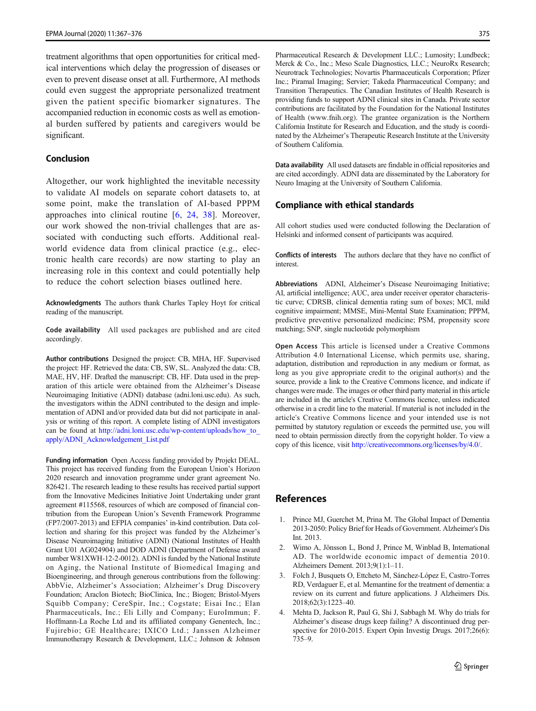<span id="page-8-0"></span>treatment algorithms that open opportunities for critical medical interventions which delay the progression of diseases or even to prevent disease onset at all. Furthermore, AI methods could even suggest the appropriate personalized treatment given the patient specific biomarker signatures. The accompanied reduction in economic costs as well as emotional burden suffered by patients and caregivers would be significant.

#### Conclusion

Altogether, our work highlighted the inevitable necessity to validate AI models on separate cohort datasets to, at some point, make the translation of AI-based PPPM approaches into clinical routine [[6,](#page-9-0) [24,](#page-9-0) [38\]](#page-9-0). Moreover, our work showed the non-trivial challenges that are associated with conducting such efforts. Additional realworld evidence data from clinical practice (e.g., electronic health care records) are now starting to play an increasing role in this context and could potentially help to reduce the cohort selection biases outlined here.

Acknowledgments The authors thank Charles Tapley Hoyt for critical reading of the manuscript.

Code availability All used packages are published and are cited accordingly.

Author contributions Designed the project: CB, MHA, HF. Supervised the project: HF. Retrieved the data: CB, SW, SL. Analyzed the data: CB, MAE, HV, HF. Drafted the manuscript: CB, HF. Data used in the preparation of this article were obtained from the Alzheimer's Disease Neuroimaging Initiative (ADNI) database (adni.loni.usc.edu). As such, the investigators within the ADNI contributed to the design and implementation of ADNI and/or provided data but did not participate in analysis or writing of this report. A complete listing of ADNI investigators can be found at [http://adni.loni.usc.edu/wp-content/uploads/how\\_to\\_](http://creativecommons.org/licenses/by/4.0/) [apply/ADNI\\_Acknowledgement\\_List.pdf](http://creativecommons.org/licenses/by/4.0/)

Funding information Open Access funding provided by Projekt DEAL. This project has received funding from the European Union's Horizon 2020 research and innovation programme under grant agreement No. 826421. The research leading to these results has received partial support from the Innovative Medicines Initiative Joint Undertaking under grant agreement #115568, resources of which are composed of financial contribution from the European Union's Seventh Framework Programme (FP7/2007-2013) and EFPIA companies' in-kind contribution. Data collection and sharing for this project was funded by the Alzheimer's Disease Neuroimaging Initiative (ADNI) (National Institutes of Health Grant U01 AG024904) and DOD ADNI (Department of Defense award number W81XWH-12-2-0012). ADNI is funded by the National Institute on Aging, the National Institute of Biomedical Imaging and Bioengineering, and through generous contributions from the following: AbbVie, Alzheimer's Association; Alzheimer's Drug Discovery Foundation; Araclon Biotech; BioClinica, Inc.; Biogen; Bristol-Myers Squibb Company; CereSpir, Inc.; Cogstate; Eisai Inc.; Elan Pharmaceuticals, Inc.; Eli Lilly and Company; EuroImmun; F. Hoffmann-La Roche Ltd and its affiliated company Genentech, Inc.; Fujirebio; GE Healthcare; IXICO Ltd.; Janssen Alzheimer Immunotherapy Research & Development, LLC.; Johnson & Johnson Pharmaceutical Research & Development LLC.; Lumosity; Lundbeck; Merck & Co., Inc.; Meso Scale Diagnostics, LLC.; NeuroRx Research; Neurotrack Technologies; Novartis Pharmaceuticals Corporation; Pfizer Inc.; Piramal Imaging; Servier; Takeda Pharmaceutical Company; and Transition Therapeutics. The Canadian Institutes of Health Research is providing funds to support ADNI clinical sites in Canada. Private sector contributions are facilitated by the Foundation for the National Institutes of Health (www.fnih.org). The grantee organization is the Northern California Institute for Research and Education, and the study is coordinated by the Alzheimer's Therapeutic Research Institute at the University of Southern California.

Data availability All used datasets are findable in official repositories and are cited accordingly. ADNI data are disseminated by the Laboratory for Neuro Imaging at the University of Southern California.

#### Compliance with ethical standards

All cohort studies used were conducted following the Declaration of Helsinki and informed consent of participants was acquired.

Conflicts of interests The authors declare that they have no conflict of interest.

Abbreviations ADNI, Alzheimer's Disease Neuroimaging Initiative; AI, artificial intelligence; AUC, area under receiver operator characteristic curve; CDRSB, clinical dementia rating sum of boxes; MCI, mild cognitive impairment; MMSE, Mini-Mental State Examination; PPPM, predictive preventive personalized medicine; PSM, propensity score matching; SNP, single nucleotide polymorphism

Open Access This article is licensed under a Creative Commons Attribution 4.0 International License, which permits use, sharing, adaptation, distribution and reproduction in any medium or format, as long as you give appropriate credit to the original author(s) and the source, provide a link to the Creative Commons licence, and indicate if changes were made. The images or other third party material in this article are included in the article's Creative Commons licence, unless indicated otherwise in a credit line to the material. If material is not included in the article's Creative Commons licence and your intended use is not permitted by statutory regulation or exceeds the permitted use, you will need to obtain permission directly from the copyright holder. To view a copy of this licence, visit [http://creativecommons.org/licenses/by/4.0/.](http://creativecommons.org/licenses/by/4.0/)

# References

- 1. Prince MJ, Guerchet M, Prina M. The Global Impact of Dementia 2013-2050: Policy Brief for Heads of Government. Alzheimer's Dis Int. 2013.
- 2. Wimo A, Jönsson L, Bond J, Prince M, Winblad B, International AD. The worldwide economic impact of dementia 2010. Alzheimers Dement. 2013;9(1):1–11.
- 3. Folch J, Busquets O, Ettcheto M, Sánchez-López E, Castro-Torres RD, Verdaguer E, et al. Memantine for the treatment of dementia: a review on its current and future applications. J Alzheimers Dis. 2018;62(3):1223–40.
- 4. Mehta D, Jackson R, Paul G, Shi J, Sabbagh M. Why do trials for Alzheimer's disease drugs keep failing? A discontinued drug perspective for 2010-2015. Expert Opin Investig Drugs. 2017;26(6): 735–9.